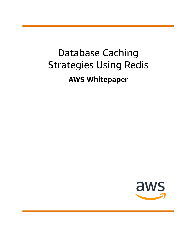# Database Caching Strategies Using Redis **AWS Whitepaper**

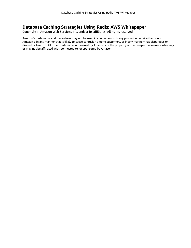#### **Database Caching Strategies Using Redis: AWS Whitepaper**

Copyright © Amazon Web Services, Inc. and/or its affiliates. All rights reserved.

Amazon's trademarks and trade dress may not be used in connection with any product or service that is not Amazon's, in any manner that is likely to cause confusion among customers, or in any manner that disparages or discredits Amazon. All other trademarks not owned by Amazon are the property of their respective owners, who may or may not be affiliated with, connected to, or sponsored by Amazon.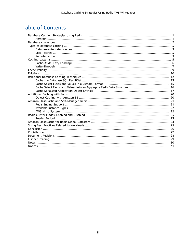#### **Table of Contents**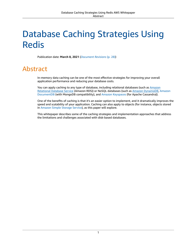## <span id="page-3-0"></span>Database Caching Strategies Using Redis

Publication date: **March 8, 2021** (*[Document](#page-30-0) Revisions* [\(p. 28\)\)](#page-30-0)

#### <span id="page-3-1"></span>Abstract

In-memory data caching can be one of the most effective strategies for improving your overall application performance and reducing your database costs.

You can apply caching to any type of database, including relational databases (such as [Amazon](http://aws.amazon.com/rds/) [Relational](http://aws.amazon.com/rds/) Database Service (Amazon RDS)) or NoSQL databases (such as Amazon [DynamoDB,](http://aws.amazon.com/dynamodb/) [Amazon](http://aws.amazon.com/documentdb/) [DocumentDB](http://aws.amazon.com/documentdb/) (with MongoDB compatibility), and Amazon [Keyspaces](http://aws.amazon.com/keyspaces/) (for Apache Cassandra)).

One of the benefits of caching is that it's an easier option to implement, and it dramatically improves the speed and scalability of your application. Caching can also apply to objects (for instance, objects stored in [Amazon](http://aws.amazon.com/s3/) Simple Storage Service), as this paper will explore.

This whitepaper describes some of the caching strategies and implementation approaches that address the limitations and challenges associated with disk-based databases.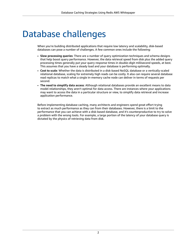### <span id="page-4-0"></span>Database challenges

When you're building distributed applications that require low latency and scalability, disk-based databases can pose a number of challenges. A few common ones include the following:

- **Slow processing queries**: There are a number of query optimization techniques and schema designs that help boost query performance. However, the data retrieval speed from disk plus the added query processing times generally put your query response times in double-digit millisecond speeds, at best. This assumes that you have a steady load and your database is performing optimally.
- **Cost to scale**: Whether the data is distributed in a disk-based NoSQL database or a vertically-scaled relational database, scaling for extremely high reads can be costly. It also can require several database read replicas to match what a single in-memory cache node can deliver in terms of requests per second.
- **The need to simplify data access**: Although relational databases provide an excellent means to data model relationships, they aren't optimal for data access. There are instances where your applications may want to access the data in a particular structure or view, to simplify data retrieval and increase application performance.

Before implementing database caching, many architects and engineers spend great effort trying to extract as much performance as they can from their databases. However, there is a limit to the performance that you can achieve with a disk-based database, and it's counterproductive to try to solve a problem with the wrong tools. For example, a large portion of the latency of your database query is dictated by the physics of retrieving data from disk.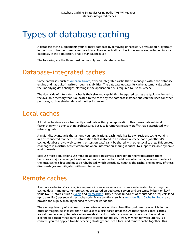### <span id="page-5-0"></span>Types of database caching

A database cache supplements your primary database by removing unnecessary pressure on it, typically in the form of frequently-accessed read data. The cache itself can live in several areas, including in your database, in the application, or as a standalone layer.

The following are the three most common types of database caches:

#### <span id="page-5-1"></span>Database-integrated caches

Some databases, such as [Amazon](http://aws.amazon.com/rds/aurora/) Aurora, offer an integrated cache that is managed within the database engine and has built-in write-through capabilities. The database updates its cache automatically when the underlying data changes. Nothing in the application tier is required to use this cache.

The downside of integrated caches is their size and capabilities. Integrated caches are typically limited to the available memory that is allocated to the cache by the database instance and can't be used for other purposes, such as sharing data with other instances.

#### <span id="page-5-2"></span>Local caches

A local cache stores your frequently-used data within your application. This makes data retrieval faster than with other caching architectures because it removes network traffic that is associated with retrieving data.

A major disadvantage is that among your applications, each node has its own resident cache working in a disconnected manner. The information that is stored in an individual cache node (whether it's cached database rows, web content, or session data) can't be shared with other local caches. This creates challenges in a distributed environment where information sharing is critical to support scalable dynamic environments.

Because most applications use multiple application servers, coordinating the values across them becomes a major challenge if each server has its own cache. In addition, when outages occur, the data in the local cache is lost and must be rehydrated, which effectively negates the cache. The majority of these disadvantages are mitigated with remote caches.

#### <span id="page-5-3"></span>Remote caches

A remote cache (or *side cache*) is a separate instance (or separate instances) dedicated for storing the cached data in-memory. Remote caches are stored on dedicated servers and are typically built on key/ value NoSQL stores, such as [Redis](https://redis.io/download) and [Memcached.](https://memcached.org/) They provide hundreds of thousands of requests (and up to a million) per second per cache node. Many solutions, such as Amazon [ElastiCache](http://aws.amazon.com/elasticache/redis/) for Redis, also provide the high availability needed for critical workloads.

The average latency of a request to a remote cache is on the sub-millisecond timescale, which, in the order of magnitude, is faster than a request to a disk-based database. At these speeds, local caches are seldom necessary. Remote caches are ideal for distributed environments because they work as a connected cluster that all your disparate systems can utilize. However, when network latency is a concern, you can apply a two-tier caching strategy that uses a local and remote cache together. This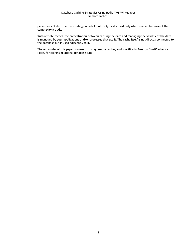paper doesn't describe this strategy in detail, but it's typically used only when needed because of the complexity it adds.

With remote caches, the orchestration between caching the data and managing the validity of the data is managed by your applications and/or processes that use it. The cache itself is not directly connected to the database but is used adjacently to it.

The remainder of this paper focuses on using remote caches, and specifically Amazon ElastiCache for Redis, for caching relational database data.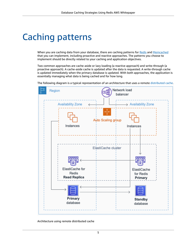### <span id="page-7-0"></span>Caching patterns

When you are caching data from your database, there are caching patterns for [Redis](https://docs.aws.amazon.com/AmazonElastiCache/latest/red-ug/Strategies.html) and [Memcached](https://docs.aws.amazon.com/AmazonElastiCache/latest/mem-ug/Strategies.html) that you can implement, including proactive and reactive approaches. The patterns you choose to implement should be directly related to your caching and application objectives.

Two common approaches are cache-aside or lazy loading (a reactive approach) and write-through (a proactive approach). A cache-aside cache is updated after the data is requested. A write-through cache is updated immediately when the primary database is updated. With both approaches, the application is essentially managing what data is being cached and for how long.

The following diagram is a typical representation of an architecture that uses a remote [distributed cache](https://en.wikipedia.org/wiki/Distributed_cache).



Architecture using remote distributed cache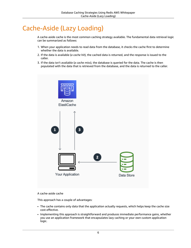#### <span id="page-8-0"></span>Cache-Aside (Lazy Loading)

A cache-aside cache is the most common caching strategy available. The fundamental data retrieval logic can be summarized as follows:

- 1. When your application needs to read data from the database, it checks the cache first to determine whether the data is available.
- 2. If the data is available (*a cache hit*), the cached data is returned, and the response is issued to the caller.
- 3. If the data isn't available (*a cache miss*), the database is queried for the data. The cache is then populated with the data that is retrieved from the database, and the data is returned to the caller.



A cache-aside cache

This approach has a couple of advantages:

- The cache contains only data that the application actually requests, which helps keep the cache size cost-effective.
- Implementing this approach is straightforward and produces immediate performance gains, whether you use an application framework that encapsulates lazy caching or your own custom application logic.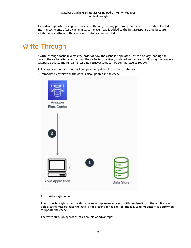A disadvantage when using cache-aside as the only caching pattern is that because the data is loaded into the cache only after a cache miss, some overhead is added to the initial response time because additional roundtrips to the cache and database are needed.

#### <span id="page-9-0"></span>Write-Through

A write-through cache reverses the order of how the cache is populated. Instead of lazy-loading the data in the cache after a cache miss, the cache is proactively updated immediately following the primary database update. The fundamental data retrieval logic can be summarized as follows:

- 1. The application, batch, or backend process updates the primary database.
- 2. Immediately afterward, the data is also updated in the cache.



A write-through cache

The write-through pattern is almost always implemented along with lazy loading. If the application gets a cache miss because the data is not present or has expired, the lazy loading pattern is performed to update the cache.

The write-through approach has a couple of advantages: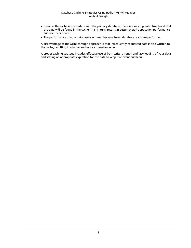- Because the cache is up-to-date with the primary database, there is a much greater likelihood that the data will be found in the cache. This, in turn, results in better overall application performance and user experience.
- The performance of your database is optimal because fewer database reads are performed.

A disadvantage of the write-through approach is that infrequently-requested data is also written to the cache, resulting in a larger and more expensive cache.

A proper caching strategy includes effective use of both write-through and lazy loading of your data and setting an appropriate expiration for the data to keep it relevant and lean.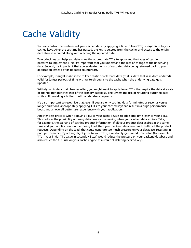# <span id="page-11-0"></span>Cache Validity

You can control the freshness of your cached data by applying a time to live (TTL) or *expiration* to your cached keys. After the set time has passed, the key is deleted from the cache, and access to the origin data store is required along with reaching the updated data.

Two principles can help you determine the appropriate TTLs to apply and the types of caching patterns to implement. First, it's important that you understand the rate of change of the underlying data. Second, it's important that you evaluate the risk of outdated data being returned back to your application instead of its updated counterpart.

For example, it might make sense to keep static or reference data (that is, data that is seldom updated) valid for longer periods of time with write-throughs to the cache when the underlying data gets updated.

With dynamic data that changes often, you might want to apply lower TTLs that expire the data at a rate of change that matches that of the primary database. This lowers the risk of returning outdated data while still providing a buffer to offload database requests.

It's also important to recognize that, even if you are only caching data for minutes or seconds versus longer durations, appropriately applying TTLs to your cached keys can result in a huge performance boost and an overall better user experience with your application.

Another best practice when applying TTLs to your cache keys is to add some time jitter to your TTLs. This reduces the possibility of heavy database load occurring when your cached data expires. Take, for example, the scenario of caching product information. If all your product data expires at the same time and your application is under heavy load, then your backend database has to fulfill all the product requests. Depending on the load, that could generate too much pressure on your database, resulting in poor performance. By adding slight jitter to your TTLs, a randomly-generated time value (for example, TTL = your initial TTL value in seconds + jitter) would reduce the pressure on your backend database and also reduce the CPU use on your cache engine as a result of deleting expired keys.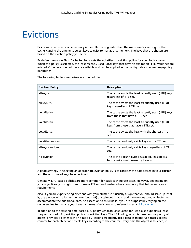### <span id="page-12-0"></span>Evictions

Evictions occur when cache memory is overfilled or is greater than the **maxmemory** setting for the cache, causing the engine to select keys to evict to manage its memory. The keys that are chosen are based on the eviction policy you select.

By default, Amazon ElastiCache for Redis sets the **volatile-lru** eviction policy for your Redis cluster. When this policy is selected, the least recently used (LRU) keys that have an expiration (TTL) value set are evicted. Other eviction policies are available and can be applied in the configurable **maxmemory-policy** parameter.

| <b>Eviction Policy</b> | <b>Description</b>                                                                       |  |
|------------------------|------------------------------------------------------------------------------------------|--|
| allkeys-lru            | The cache evicts the least recently used (LRU) keys<br>regardless of TTL set.            |  |
| allkeys-lfu            | The cache evicts the least frequently used (LFU)<br>keys regardless of TTL set.          |  |
| volatile-lru           | The cache evicts the least recently used (LRU) keys<br>from those that have a TTL set.   |  |
| volatile-lfu           | The cache evicts the least frequently used (LFU)<br>keys from those that have a TTL set. |  |
| volatile-ttl           | The cache evicts the keys with the shortest TTL<br>set.                                  |  |
| volatile-random        | The cache randomly evicts keys with a TTL set.                                           |  |
| allkeys-random         | The cache randomly evicts keys regardless of TTL<br>set.                                 |  |
| no-eviction            | The cache doesn't evict keys at all. This blocks<br>future writes until memory frees up. |  |

The following table summarizes eviction policies:

A good strategy in selecting an appropriate eviction policy is to consider the data stored in your cluster and the outcome of keys being evicted.

Generally, LRU-based policies are more common for basic caching use cases. However, depending on your objectives, you might want to use a TTL or random-based eviction policy that better suits your requirements.

Also, if you are experiencing evictions with your cluster, it is usually a sign that you should scale up (that is, use a node with a larger memory footprint) or scale out (that is, add more nodes to your cluster) to accommodate the additional data. An exception to this rule is if you are purposefully relying on the cache engine to manage your keys by means of eviction, also referred to as an [LRU cache.](https://redis.io/topics/lru-cache)

In addition to the existing time-based LRU policy, Amazon ElastiCache for Redis also supports a least frequently used (LFU) eviction policy for evicting keys. The LFU policy, which is based on frequency of access, provides a better cache hit ratio by keeping frequently used data in-memory; it traces access counter for each object and evicts keys according to the counter. Every time the object is touched, it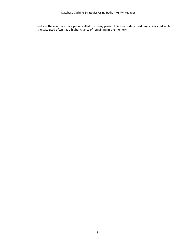reduces the counter after a period called the decay period. This means data used rarely is evicted while the data used often has a higher chance of remaining in the memory.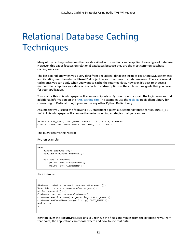## <span id="page-14-0"></span>Relational Database Caching **Techniques**

Many of the caching techniques that are described in this section can be applied to any type of database. However, this paper focuses on relational databases because they are the most common database caching use case.

The basic paradigm when you query data from a relational database includes executing SQL statements and iterating over the returned **ResultSet** object cursor to retrieve the database rows. There are several techniques you can apply when you want to cache the returned data. However, it's best to choose a method that simplifies your data access pattern and/or optimizes the architectural goals that you have for your application.

To visualize this, this whitepaper will examine snippets of Python code to explain the logic. You can find additional information on the AWS [caching](http://aws.amazon.com/caching/) site. The examples use the [redis-py](https://github.com/andymccurdy/redis-py) Redis client library for connecting to Redis, although you can use any other Python Redis library.

Assume that you issued the following SQL statement against a customer database for CUSTOMER\_ID 1001. This whitepaper will examine the various caching strategies that you can use.

```
SELECT FIRST_NAME, LAST_NAME, EMAIL, CITY, STATE, ADDRESS,
COUNTRY FROM CUSTOMERS WHERE CUSTOMER_ID = "1001";
```
The query returns this record:

Python example:

```
try:
     cursor.execute(key)
    results = cursor.fetchall()
     for row in results:
         print (row["FirstName"])
         print (row["LastName"])
```
Java example:

```
…
Statement stmt = connection.createStatement(); 
ResultSet rs = stmt.executeQuery(query);
while (rs.next()) {
Customer customer = new Customer();
customer.setFirstName(rs.getString("FIRST_NAME"));
customer.setLastName(rs.getString("LAST_NAME"));
and so on …
}
…
```
Iterating over the **ResultSet** cursor lets you retrieve the fields and values from the database rows. From that point, the application can choose where and how to use that data.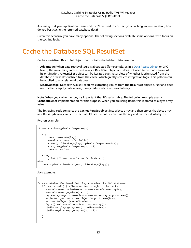Assuming that your application framework can't be used to abstract your caching implementation, how do you best cache the returned database data?

Given this scenario, you have many options. The following sections evaluate some options, with focus on the caching logic.

#### <span id="page-15-0"></span>Cache the Database SQL ResultSet

Cache a serialized **ResultSet** object that contains the fetched database row.

- **Advantage:** When data retrieval logic is abstracted (for example, as in a Data Access [Object](http://www.oracle.com/technetwork/java/dataaccessobject-138824.html) or DAO layer), the consuming code expects only a **ResultSet** object and does not need to be made aware of its origination. A **ResultSet** object can be iterated over, regardless of whether it originated from the database or was deserialized from the cache, which greatly reduces integration logic. This pattern can be applied to any relational database.
- **Disadvantage:** Data retrieval still requires extracting values from the **ResultSet** object cursor and does not further simplify data access; it only reduces data retrieval latency.

**Note:** When you cache the row, it's important that it's serializable. The following example uses a **CachedRowSet** implementation for this purpose. When you are using Redis, this is stored as a byte array value.

The following code converts the **CachedRowSet** object into a byte array and then stores that byte array as a Redis byte array value. The actual SQL statement is stored as the key and converted into bytes.

Python example:

```
if not r.exists(pickle.dumps(key)):
    try:
        cursor.execute(key)
        results = cursor.fetchall()
       r.set(pickle.dumps(key), pickle.dumps(results))
        r.expire(pickle.dumps(key), ttl)
        data = results
   except:
        print ("Error: unable to fetch data.")
else:
   data = pickle.loads(r.get(pickle.dumps(key)))
```
Java example:

```
…
// rs contains the ResultSet, key contains the SQL statement 
   if (rs != null) { //lets write-through to the cache
      CachedRowSet cachedRowSet = new CachedRowSetImpl(); 
       cachedRowSet.populate(rs, 1);
       ByteArrayOutputStream bos = new ByteArrayOutputStream(); 
       ObjectOutput out = new ObjectOutputStream(bos); 
       out.writeObject(cachedRowSet);
      byte[] redisRSValue = bos.toByteArray();
       jedis.set(key.getBytes(), redisRSValue);
       jedis.expire(key.getBytes(), ttl);
    }
…
```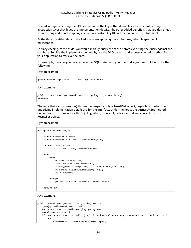One advantage of storing the SQL statement as the key is that it enables a transparent caching abstraction layer that hides the implementation details. The other added benefit is that you don't need to create any additional mappings between a custom key ID and the executed SQL statement.

At the time of setting data in the Redis, you are applying the expiry time, which is specified in milliseconds.

For lazy caching/cache aside, you would initially query the cache before executing the query against the database. To hide the implementation details, use the DAO pattern and expose a generic method for your application to retrieve the data.

For example, because your key is the actual SQL statement, your method signature could look like the following:

Python example:

getResultSet(sql) # sql is the sql statement

Java example:

```
public ResultSet getResultSet(String key); // key is sql 
statement
```
The code that calls (consumes) this method expects only a **ResultSet** object, regardless of what the underlying implementation details are for the interface. Under the hood, the **getResultSet** method executes a GET command for the SQL key, which, if present, is deserialized and converted into a **ResultSet** object.

Python example:

```
def getResultSet(key):
    redisResultSet = None
    redisResultSet = r.get(pickle.dumps(key))
    if redisResultSet:
         rs = pickle.loads(redisResultSet)
    else:
         try:
             cursor.execute(key)
             results = cursor.fetchall()
             r.set(pickle.dumps(key), pickle.dumps(results))
             r.expire(pickle.dumps(key), ttl)
             rs = results
         except:
             print ("Error: unable to fetch data")
     return rs
```
Java example:

```
public ResultSet getResultSet(String key) {
   byte[] redisResultSet = null;
   redisResultSet = jedis.get(key.getBytes()); 
   ResultSet rs = null;
    if (redisResultSet != null) { // if cached value exists, deserialize it and return it
       try {
          cachedRowSet = new CachedRowSetImpl();
```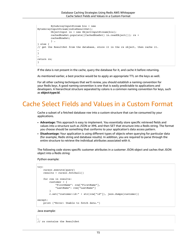```
 ByteArrayInputStream bis = new
ByteArrayInputStream(redisResultSet);
          ObjectInput in = new ObjectInputStream(bis);
          cachedRowSet.populate((CachedRowSet) in.readObject()); rs = 
          cachedRowSet;
 } …
} else {
// get the ResultSet from the database, store it in the rs object, then cache it.
…
}
…
return rs;
}
```
If the data is not present in the cache, query the database for it, and cache it before returning.

As mentioned earlier, a best practice would be to apply an appropriate TTL on the keys as well.

For all other caching techniques that we'll review, you should establish a naming convention for your Redis keys. A good naming convention is one that is easily predictable to applications and developers. A hierarchical structure separated by colons is a common naming convention for keys, such as **object:type:id**.

#### <span id="page-17-0"></span>Cache Select Fields and Values in a Custom Format

Cache a subset of a fetched database row into a custom structure that can be consumed by your applications.

- **Advantage:** This approach is easy to implement. You essentially store specific retrieved fields and values into a structure such as JSON or XML and then SET that structure into a Redis string. The format you choose should be something that conforms to your application's data access pattern.
- **Disadvantage:** Your application is using different types of objects when querying for particular data (for example, Redis string and database results). In addition, you are required to parse through the entire structure to retrieve the individual attributes associated with it.

The following code stores specific customer attributes in a customer JSON object and caches that JSON object into a Redis string:

Python example:

```
try:
    cursor.execute(query)
    results = cursor.fetchall()
     for row in results:
         customer = {
             "FirstName": row["FirstName"],
             "LastName": row["LastName"]
         }
         r.set("customer:id:" + str(row["id"]), json.dumps(customer))
except:
    print ("Error: Unable to fetch data.")
```
Java example:

… // rs contains the ResultSet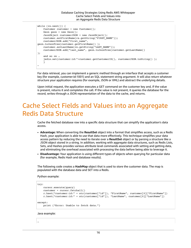```
while (rs.next()) {
    Customer customer = new Customer(); 
    Gson gson = new Gson();
    JsonObject customerJSON = new JsonObject(); 
    customer.setFirstName(rs.getString("FIRST_NAME")); 
    customerJSON.add("first_name",
gson.toJsonTree(customer.getFirstName() ); 
    customer.setLastName(rs.getString("LAST_NAME"));
    customerJSON.add("last_name", gson.toJsonTree(customer.getLastName()
);
     and so on …
     jedis.set(customer:id:"+customer.getCustomerID(), customerJSON.toString() );
     }
…
```
For data retrieval, you can implement a generic method through an interface that accepts a customer key (for example, customer:id:1001) and an SQL statement string argument. It will also return whatever structure your application requires (for example, JSON or XML) and abstract the underlying details.

Upon initial request, the application executes a GET command on the customer key and, if the value is present, returns it and completes the call. If the value is not present, it queries the database for the record, writes-through a JSON representation of the data to the cache, and returns.

#### <span id="page-18-0"></span>Cache Select Fields and Values into an Aggregate Redis Data Structure

Cache the fetched database row into a specific data structure that can simplify the application's data access.

- **Advantage:** When converting the **ResultSet** object into a format that simplifies access, such as a Redis Hash, your application is able to use that data more effectively. This technique simplifies your data access pattern by reducing the need to iterate over a **ResultSet** object or by parsing a structure like a JSON object stored in a string. In addition, working with aggregate data structures, such as Redis Lists, Sets, and Hashes provides various attribute level commands associated with setting and getting data, and eliminating the overhead associated with processing the data before being able to leverage it.
- **Disadvantage:** Your application is using different types of objects when querying for particular data (for example, Redis Hash and database results).

The following code creates a **HashMap** object that is used to store the customer data. The map is populated with the database data and SET into a Redis.

Python example:

```
try:
    cursor.execute(query)
    customer = cursor.fetchall()
     r.hset("customer:id:" + str(customer["id"]), "FirstName", customer[0]["FirstName"])
    r.hset("customer:id:" + str(customer["id"]), "LastName", customer[0]["LastName"])
except:
    print ("Error: Unable to fetch data.")
```
Java example:

…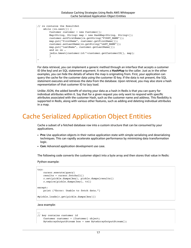```
// rs contains the ResultSet
    while (rs.next()) {
        Customer customer = new Customer();
        Map<String, String> map = new HashMap<String, String>();
        customer.setFirstName(rs.getString("FIRST_NAME")); 
        map.put("firstName", customer.getFirstName()); 
        customer.setLastName(rs.getString("LAST_NAME")); 
        map.put("lastName", customer.getLastName());
        and so on …
         jedis.hmset(customer:id:"+customer.getCustomerID(), map);
 }
…
```
For data retrieval, you can implement a generic method through an interface that accepts a customer ID (the key) and an SQL statement argument. It returns a **HashMap** to the caller. Just as in the other examples, you can hide the details of where the map is originating from. First, your application can query the cache for the customer data using the customer ID key. If the data is not present, the SQL statement executes and retrieves the data from the database. Upon retrieval, you may also store a hash representation of that customer ID to lazy load.

Unlike JSON, the added benefit of storing your data as a hash in Redis is that you can query for individual attributes within it. Say that for a given request you only want to respond with specific attributes associated with the customer Hash, such as the customer name and address. This flexibility is supported in Redis, along with various other features, such as adding and deleting individual attributes in a map.

#### <span id="page-19-0"></span>Cache Serialized Application Object Entities

Cache a subset of a fetched database row into a custom structure that can be consumed by your applications.

- **Pro:** Use application objects in their native application state with simple serializing and deserializing techniques. This can rapidly accelerate application performance by minimizing data transformation logic.
- **Con:** Advanced application development use case.

The following code converts the customer object into a byte array and then stores that value in Redis:

Python example:

```
try:
    cursor.execute(query)
    results = cursor.fetchall()
    r.set(pickle.dumps(key), pickle.dumps(results))
    r.expire(pickle.dumps(key), ttl)
except:
    print ("Error: Unable to fetch data.")
#pickle.loads(r.get(pickle.dumps(key)))
```
Java example:

```
….
// key contains customer id
    Customer customer = (Customer) object;
    ByteArrayOutputStream bos = new ByteArrayOutputStream();
```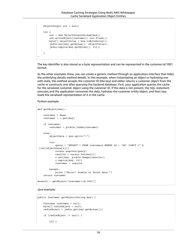```
 ObjectOutput out = null;
     try {
         out = new ObjectOutputStream(bos); 
         out.writeObject(customer); out.flush();
         byte[] objectValue = bos.toByteArray();
         jedis.set(key.getBytes(), objectValue);
         jedis.expire(key.getBytes(), ttl);
    }
…
```
The key identifier is also stored as a byte representation and can be represented in the customer:id:1001 format.

As the other examples show, you can create a generic method through an application interface that hides the underlying details method details. In this example, when instantiating an object or hydrating one with state, the method accepts the customer ID (the key) and either returns a customer object from the cache or constructs one after querying the backend database. First, your application queries the cache for the serialized customer object using the customer ID. If the data is not present, the SQL statement executes and the application consumes the data, hydrates the customer entity object, and then lazy loads the serialized representation of it in the cache.

Python example:

```
def getObject(key):
     customer = None
   \text{customer} = \text{r.get(key)} if customer:
         customer = pickle.loads(customer)
     else:
         objectData = key.split(":")
         try:
             query = "SELECT * FROM customers WHERE id = '%d' LIMIT 1" %
  (int(objectData[2]))
             cursor.execute(query)
             results = cursor.fetchall()
             r.set(key, pickle.dumps(results))
             r.expire(key, ttl)
             customer = results
         except:
            print ("Error: Unable to fetch data.")
     return customer
#result = getObject("customer:id:1001")
```
Java example:

```
public Customer getObject(String key) {
     Customer customer = null;
    byte[] redisObject = null;
    redisObject = jedis.get(key.getBytes());
     if (redisObject != null) {
         try {
```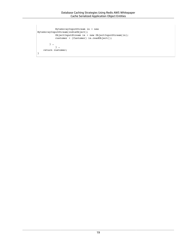```
 ByteArrayInputStream in = new
ByteArrayInputStream(redisObject);
 ObjectInputStream is = new ObjectInputStream(in); 
 customer = (Customer) is.readObject();
        } …
           } …
    return customer;
}
```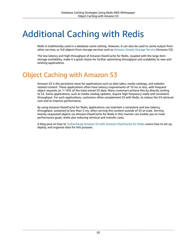### <span id="page-22-0"></span>Additional Caching with Redis

Redis is traditionally used in a database cache setting. However, it can also be used to cache output from other services, or full objects from storage services such as [Amazon](http://aws.amazon.com/s3/) Simple Storage Service (Amazon S3).

The low latency and high throughput of Amazon ElastiCache for Redis, coupled with the large item storage availability, make it a great choice for further optimizing throughput and scalability to new and existing applications.

#### <span id="page-22-1"></span>Object Caching with Amazon S3

Amazon S3 is the persistent store for applications such as data lakes, media catalogs, and websiterelated content. These applications often have latency requirements of 10 ms or less, with frequent object requests on 1–10% of the total stored S3 data. Many customers achieve this by directly writing to S3. Some applications, such as media catalog updates, require high frequency reads and consistent throughput. For such applications, customers often complement S3 with Redis, to reduce the S3 retrieval cost and to improve performance.

By using Amazon ElastiCache for Redis, applications can maintain a consistent and low-latency throughput, sustained at less than 5 ms, when serving this content outside of S3 at scale. Serving heavily-requested objects via Amazon ElastiCache for Redis in this manner can enable you to meet performance goals, while also reducing retrieval and transfer costs.

A blog post on how to [Turbocharge](http://aws.amazon.com/blogs/storage/turbocharge-amazon-s3-with-amazon-elasticache-for-redis/) Amazon S3 with Amazon ElastiCache for Redis covers how to set up, deploy, and organize data for this purpose.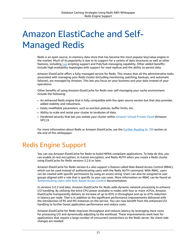## <span id="page-23-0"></span>Amazon ElastiCache and Self-Managed Redis

Redis is an open source, in-memory data store that has become the most popular key/value engine in the market. Much of its popularity is due to its support for a variety of data structures as well as other features, including [Lua](https://www.lua.org/) scripting support and Pub/Sub messaging capability. Other added benefits include high availability topologies with support for read replicas and the ability to persist data.

Amazon ElastiCache offers a fully-managed service for Redis. This means that all the administrative tasks associated with managing your Redis cluster (including monitoring, patching, backups, and automatic failover), are managed by Amazon. This lets you focus on your business and your data instead of your operations.

Other benefits of using Amazon ElastiCache for Redis over self-managing your cache environment include the following:

- An enhanced Redis engine that is fully compatible with the open source version but that also provides added stability and robustness.
- Easily modifiable parameters, such as eviction policies, buffer limits, etc.
- Ability to scale and resize your cluster to terabytes of data.
- Hardened security that lets you isolate your cluster within [Amazon](http://aws.amazon.com/vpc/) Virtual Private Cloud (Amazon VPC).9

For more information about Redis or Amazon ElastiCache, see the Further [Reading \(p. 29\)](#page-31-0) section at the end of this whitepaper.

### <span id="page-23-1"></span>Redis Engine Support

You can use Amazon ElastiCache for Redis to build HIPAA-compliant applications. To help do this, you can enable at-rest encryption, in-transit encryption, and Redis AUTH when you create a Redis cluster using ElastiCache for Redis versions 3.2.6 or later.

Amazon ElastiCache for Redis version 6.x also support a feature called Role-Based Access Control (RBAC), which can be used instead of authenticating users with the Redis AUTH command. With RBAC, users can be created with specific permissions by using an access string. Users can also be assigned to user groups aligned with a role that is specific to your use cases. More information on RBAC can be found at: [Authenticating](https://docs.aws.amazon.com/AmazonElastiCache/latest/red-ug/Clusters.RBAC.html) Users with Role-Based Access Control documentation.

In versions 5.0.3 and later, Amazon ElastiCache for Redis adds dynamic network processing to enhance I/O handling. By utilizing the extra CPU power available in nodes with four or more vCPUs, Amazon ElastiCache transparently delivers an increase of up to 83% in throughput and up to 47% reduction in latency per node. That is in addition to the significant performance improvements delivered with the introduction of R5 and M5 instances on the service. You can now benefit from the enhanced I/O handling to further boost application performance and reduce costs.

Amazon ElastiCache for Redis improves throughput and reduces latency by leveraging more cores for processing I/O and dynamically adjusting to the workload. These improvements work best for applications that require a large number of concurrent connections to the Redis server. No client-side changes are needed.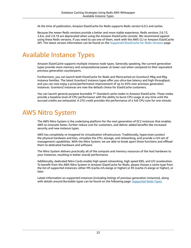At the time of publication, Amazon ElastiCache for Redis supports Redis version 6.0.5 and earlier.

Because the newer Redis versions provide a better and more stable experience, Redis versions 2.6.13, 2.8.6, and 2.8.19 are deprecated when using the Amazon ElastiCache console. We recommend against using these Redis versions. If you need to use one of them, work with the AWS CLI or Amazon ElastiCache API. The latest version information can be found on the Supported [ElastiCache](https://docs.aws.amazon.com/AmazonElastiCache/latest/red-ug/supported-engine-versions.html) for Redis Versions page.

#### <span id="page-24-0"></span>Available Instance Types

Amazon ElastiCache supports multiple instance node types. Generally speaking, the current generation types provide more memory and computational power at lower cost when compared to their equivalent previous generation counterparts.

Furthermore, you can launch both ElastiCache for Redis and Memcached on Graviton2 M6g and R6g instance families. The latest Graviton2 instance types offer you ultra-low latency and high throughput, and you can now enjoy a price/performance improvement of up to 45% over previous generation instances. Graviton2 instances are now the default choice for ElastiCache customers.

You can launch general-purpose burstable T\*-Standard cache nodes in Amazon ElastiCache. These nodes provide a baseline level of CPU performance with the ability to burst CPU usage at any time until the accrued credits are exhausted. A *CPU credit* provides the performance of a full CPU core for one minute.

#### <span id="page-24-1"></span>AWS Nitro System

The AWS Nitro System is the underlying platform for the next generation of EC2 instances that enables AWS to innovate faster, further reduce cost for customers, and deliver added benefits like increased security and new instance types.

AWS has completely re-imagined its virtualization infrastructure. Traditionally, hypervisors protect the physical hardware and bios, virtualize the CPU, storage, and networking, and provide a rich set of management capabilities. With the Nitro System, we are able to break apart those functions and offload them to dedicated hardware and software.

The Nitro System delivers practically all of the compute and memory resources of the host hardware to your instances, resulting in better overall performance.

Additionally, dedicated Nitro Cards enable high speed networking, high speed EBS, and I/O acceleration. To benefit from the AWS Nitro System in Amazon ElastiCache for Redis, please choose a cache type from the list of supported instances: either M5 (cache.m5.xlarge or higher) or R5 (cache.r5.xlarge or higher), or later.

Latest information on supported instances (including listings of previous generation instances), along with details around Burstable types can be found on the following page: [Supported](https://docs.aws.amazon.com/AmazonElastiCache/latest/red-ug/CacheNodes.SupportedTypes.html) Node Types.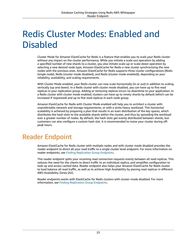## <span id="page-25-0"></span>Redis Cluster Modes: Enabled and Disabled

Cluster Mode for Amazon ElastiCache for Redis is a feature that enables you to scale your Redis cluster without any impact on the cluster performance. While you initiate a scale-out operation by adding a specified number of new shards to a cluster, you also initiate scale-up or scale-down operation by selecting a new desired node type, Amazon ElastiCache for Redis a new cluster synchronizing the new nodes with the previous ones. Amazon ElastiCache for Redis supports three cluster configurations (Redis (single node), Redis (cluster mode disabled), and Redis (cluster mode enabled)), depending on your reliability, availability, and scaling requirements.

With Cluster Mode enabled, your Redis cluster can now scale horizontally (in or out) in addition to scaling vertically (up and down). In a Redis cluster with cluster mode disabled, you can have up to five read replicas in your replication group. Adding or removing replicas incurs no downtime to your application. In a Redis cluster with cluster mode enabled, clusters can have up to ninety shards by default (which can be increased if requested) and up to five read replicas in each node group.

Amazon ElastiCache for Redis with Cluster Mode enabled will help you to architect a cluster with unpredictable network and storage requirements, or with a write-heavy workload. This horizontal scalability is achieved by preparing a plan that results in an even distribution of the key spaces, which distributes the hash slots to the available shards within the cluster, and thus by spreading the workload over a greater number of nodes. By default, the hash slots get evenly distributed between shards, but customers can also configure a custom hash slot. It is recommended to resize your cluster during offpeak hours.

#### <span id="page-25-1"></span>Reader Endpoint

Amazon ElastiCache for Redis cluster with multiple nodes and with cluster mode disabled provides the reader endpoint to direct all your read traffic to a single cluster level endpoint. For more information on reader endpoints, see Finding [Replication](https://docs.aws.amazon.com/AmazonElastiCache/latest/red-ug/Replication.Endpoints.html) Group Endpoints.

This reader endpoint splits your incoming read connection requests evenly between all read replicas. This reduces the need for the clients to direct traffic to an individual replica, and simplifies configuration to look up and access cached data. Reader endpoint also helps your Amazon ElastiCache for Redis cluster to load balance all read traffic, as well as to achieve High Availability by placing read replicas in different AWS Availability Zones (AZ).

Reader endpoints works with ElastiCache for Redis clusters with cluster-mode disabled. For more information, see Finding [Replication](https://docs.aws.amazon.com/AmazonElastiCache/latest/red-ug/Replication.Endpoints.html) Group Endpoints.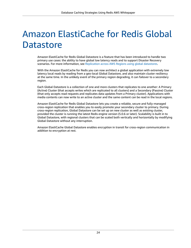## <span id="page-26-0"></span>Amazon ElastiCache for Redis Global **Datastore**

Amazon ElastiCache for Redis Global Datastore is a feature that has been introduced to handle two primary use cases: the ability to have global low latency reads and to support Disaster Recovery scenarios. For more information, see [Replication](https://docs.aws.amazon.com/AmazonElastiCache/latest/red-ug/Redis-Global-Datastore.html) across AWS Regions using global datastores.

With the Amazon ElastiCache for Redis you can now architect a global application with extremely low latency local reads by reading from a geo-local Global Datastore, and also maintain cluster resiliency at the same time. In the unlikely event of the primary region degrading, it can failover to a secondary region.

Each Global Datastore is a collection of one and more clusters that replicates to one another: A Primary (Active) Cluster (that accepts writes which are replicated to all clusters) and a Secondary (Passive) Cluster (that only accepts read requests and replicates data updates from a Primary cluster). Applications with media contents can now write to an active cluster and the same content can be read in the local regions.

Amazon ElastiCache for Redis Global Datastore lets you create a reliable, secure and fully-managed cross-region replication that enables you to easily promote your secondary cluster to primary. During cross-region replication, Global Datastore can be set up on new cluster as well as existing cluster, provided the cluster is running the latest Redis engine version (5.0.6 or later). Scalability is built in to Global Datastore, with regional clusters that can be scaled both vertically and horizontally by modifying Global Datastore without any interruption.

Amazon ElastiCache Global Datastore enables encryption in transit for cross-region communication in addition to encryption at rest.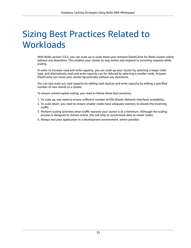### <span id="page-27-0"></span>Sizing Best Practices Related to **Workloads**

With Redis version 5.0.5, you can scale up or scale down your Amazon ElastiCache for Redis cluster online without any downtime. This enables your cluster to stay online and respond to incoming requests while scaling.

In order to increase read and write capacity, you can scale up your cluster by selecting a larger node type, and alternatively read and write capacity can be reduced by selecting a smaller node. Amazon ElastiCache can resize your cluster dynamically without any downtime.

You can also scale out read capacity by adding read replicas and write capacity by adding a specified number of new shards to a cluster.

To ensure uninterrupted scaling, you need to follow these best practices:

- 1. To scale up, you need to ensure sufficient number of ENI (Elastic Network Interface) availability.
- 2. To scale down, you need to ensure smaller nodes have adequate memory to absorb the incoming traffic.
- 3. Perform scaling activities when traffic towards your cluster is at a minimum. Although the scaling process is designed to remain online, this will help to synchronize data to newer nodes.
- 4. Always test your application in a development environment, where possible.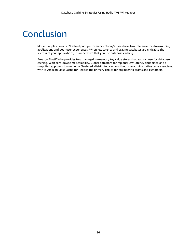### <span id="page-28-0"></span>Conclusion

Modern applications can't afford poor performance. Today's users have low tolerance for slow-running applications and poor user experiences. When low latency and scaling databases are critical to the success of your applications, it's imperative that you use database caching.

Amazon ElastiCache provides two managed in-memory key value stores that you can use for database caching. With zero-downtime scalability, Global datastore for regional low-latency endpoints, and a simplified approach to running a Clustered, distributed cache without the administrative tasks associated with it, Amazon ElastiCache for Redis is the primary choice for engineering teams and customers.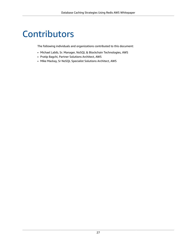### <span id="page-29-0"></span>**Contributors**

The following individuals and organizations contributed to this document:

- Michael Labib, Sr. Manager, NoSQL & Blockchain Technologies, AWS
- Pratip Bagchi, Partner Solutions Architect, AWS
- Mike Mackay, Sr NoSQL Specialist Solutions Architect, AWS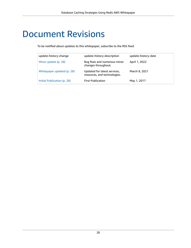### <span id="page-30-0"></span>Document Revisions

To be notified about updates to this whitepaper, subscribe to the RSS feed.

| update-history-change       | update-history-description                                   | update-history-date |
|-----------------------------|--------------------------------------------------------------|---------------------|
| Minor update (p. 28)        | Bug fixes and numerous minor<br>changes throughout.          | April 1, 2022       |
| Whitepaper updated (p. 28)  | Updated for latest services.<br>resources, and technologies. | March 8, 2021       |
| Initial Publication (p. 28) | <b>First Publication</b>                                     | May 1, 2017         |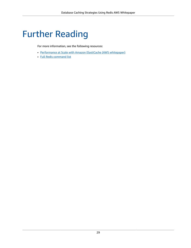# <span id="page-31-0"></span>Further Reading

For more information, see the following resources:

- [Performance](https://d1.awsstatic.com/whitepapers/performance-at-scale-with-amazon-elasticache.pdf) at Scale with Amazon ElastiCache (AWS whitepaper)
- Full Redis [command](https://redis.io/commands) list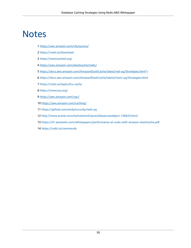### <span id="page-32-0"></span>**Notes**

- [https://aws.amazon.com/rds/aurora/](http://aws.amazon.com/rds/aurora/)
- <https://redis.io/download>
- <https://memcached.org/>
- [https://aws.amazon.com/elasticache/redis/](http://aws.amazon.com/elasticache/redis/)
- [https://docs.aws.amazon.com/AmazonElastiCache/latest/red-ug/Strategies.html">](https://docs.aws.amazon.com/AmazonElastiCache/latest/red-ug/Strategies.html)
- <https://docs.aws.amazon.com/AmazonElastiCache/latest/mem-ug/Strategies.html>
- <https://redis.io/topics/lru-cache>
- <https://www.lua.org/>
- [https://aws.amazon.com/vpc/](http://aws.amazon.com/vpc/)
- [https://aws.amazon.com/caching/](http://aws.amazon.com/caching/)
- <https://github.com/andymccurdy/redis-py>
- <http://www.oracle.com/technetwork/java/dataaccessobject-138824.html>
- <https://d1.awsstatic.com/whitepapers/performance-at-scale-with-amazon-elasticache.pdf>
- <https://redis.io/commands>